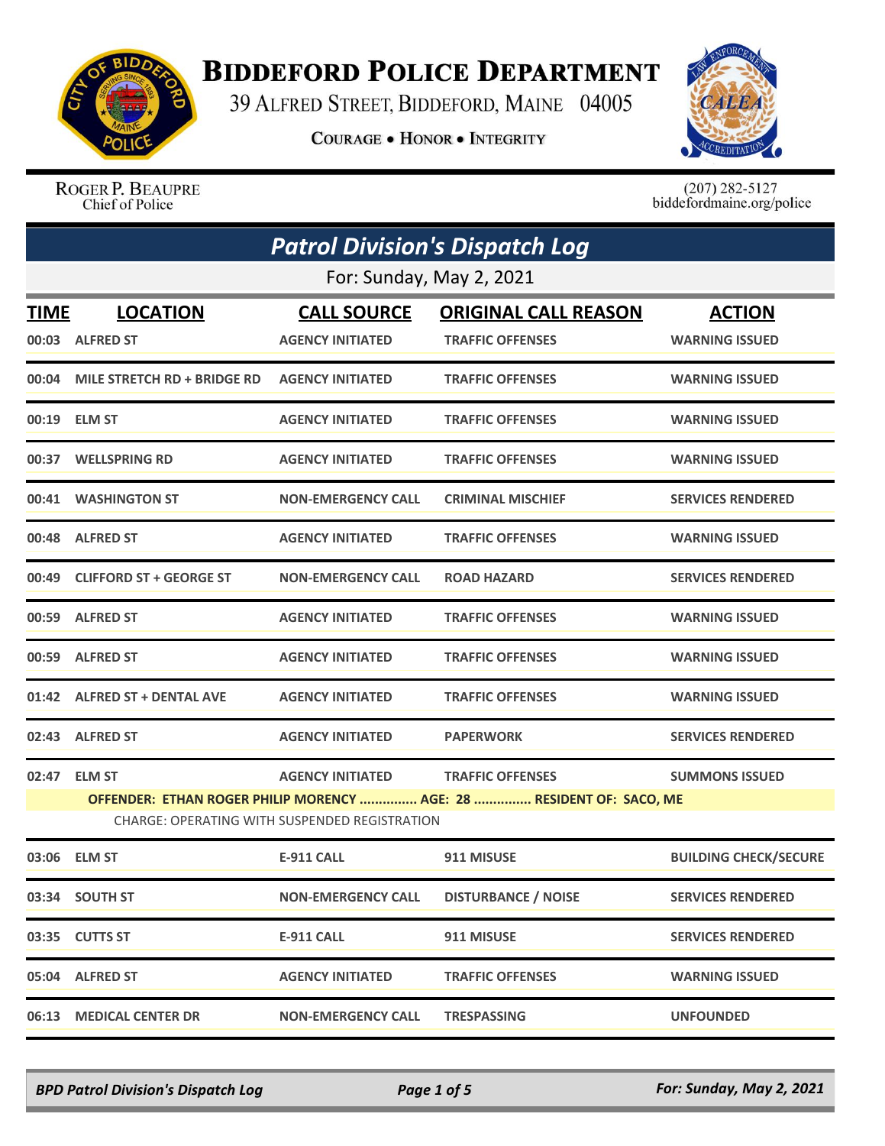

## **BIDDEFORD POLICE DEPARTMENT**

39 ALFRED STREET, BIDDEFORD, MAINE 04005

**COURAGE . HONOR . INTEGRITY** 



ROGER P. BEAUPRE Chief of Police

 $(207)$  282-5127<br>biddefordmaine.org/police

|             | <b>Patrol Division's Dispatch Log</b>                                |                                                      |                             |                              |  |
|-------------|----------------------------------------------------------------------|------------------------------------------------------|-----------------------------|------------------------------|--|
|             | For: Sunday, May 2, 2021                                             |                                                      |                             |                              |  |
| <b>TIME</b> | <b>LOCATION</b>                                                      | <b>CALL SOURCE</b>                                   | <b>ORIGINAL CALL REASON</b> | <b>ACTION</b>                |  |
|             | 00:03 ALFRED ST                                                      | <b>AGENCY INITIATED</b>                              | <b>TRAFFIC OFFENSES</b>     | <b>WARNING ISSUED</b>        |  |
| 00:04       | MILE STRETCH RD + BRIDGE RD                                          | <b>AGENCY INITIATED</b>                              | <b>TRAFFIC OFFENSES</b>     | <b>WARNING ISSUED</b>        |  |
| 00:19       | <b>ELM ST</b>                                                        | <b>AGENCY INITIATED</b>                              | <b>TRAFFIC OFFENSES</b>     | <b>WARNING ISSUED</b>        |  |
|             | 00:37 WELLSPRING RD                                                  | <b>AGENCY INITIATED</b>                              | <b>TRAFFIC OFFENSES</b>     | <b>WARNING ISSUED</b>        |  |
|             | 00:41 WASHINGTON ST                                                  | <b>NON-EMERGENCY CALL</b>                            | <b>CRIMINAL MISCHIEF</b>    | <b>SERVICES RENDERED</b>     |  |
|             | 00:48 ALFRED ST                                                      | <b>AGENCY INITIATED</b>                              | <b>TRAFFIC OFFENSES</b>     | <b>WARNING ISSUED</b>        |  |
|             | 00:49 CLIFFORD ST + GEORGE ST                                        | <b>NON-EMERGENCY CALL</b>                            | <b>ROAD HAZARD</b>          | <b>SERVICES RENDERED</b>     |  |
|             | 00:59 ALFRED ST                                                      | <b>AGENCY INITIATED</b>                              | <b>TRAFFIC OFFENSES</b>     | <b>WARNING ISSUED</b>        |  |
|             | 00:59 ALFRED ST                                                      | <b>AGENCY INITIATED</b>                              | <b>TRAFFIC OFFENSES</b>     | <b>WARNING ISSUED</b>        |  |
|             | 01:42 ALFRED ST + DENTAL AVE                                         | <b>AGENCY INITIATED</b>                              | <b>TRAFFIC OFFENSES</b>     | <b>WARNING ISSUED</b>        |  |
|             | 02:43 ALFRED ST                                                      | <b>AGENCY INITIATED</b>                              | <b>PAPERWORK</b>            | <b>SERVICES RENDERED</b>     |  |
|             | 02:47 ELM ST                                                         | <b>AGENCY INITIATED</b>                              | <b>TRAFFIC OFFENSES</b>     | <b>SUMMONS ISSUED</b>        |  |
|             | OFFENDER: ETHAN ROGER PHILIP MORENCY  AGE: 28  RESIDENT OF: SACO, ME |                                                      |                             |                              |  |
|             |                                                                      | <b>CHARGE: OPERATING WITH SUSPENDED REGISTRATION</b> |                             |                              |  |
|             | 03:06 ELM ST                                                         | E-911 CALL                                           | 911 MISUSE                  | <b>BUILDING CHECK/SECURE</b> |  |
|             | 03:34 SOUTH ST                                                       | <b>NON-EMERGENCY CALL</b>                            | <b>DISTURBANCE / NOISE</b>  | <b>SERVICES RENDERED</b>     |  |
|             | 03:35 CUTTS ST                                                       | <b>E-911 CALL</b>                                    | 911 MISUSE                  | <b>SERVICES RENDERED</b>     |  |
|             | 05:04 ALFRED ST                                                      | <b>AGENCY INITIATED</b>                              | <b>TRAFFIC OFFENSES</b>     | <b>WARNING ISSUED</b>        |  |
| 06:13       | <b>MEDICAL CENTER DR</b>                                             | <b>NON-EMERGENCY CALL</b>                            | <b>TRESPASSING</b>          | <b>UNFOUNDED</b>             |  |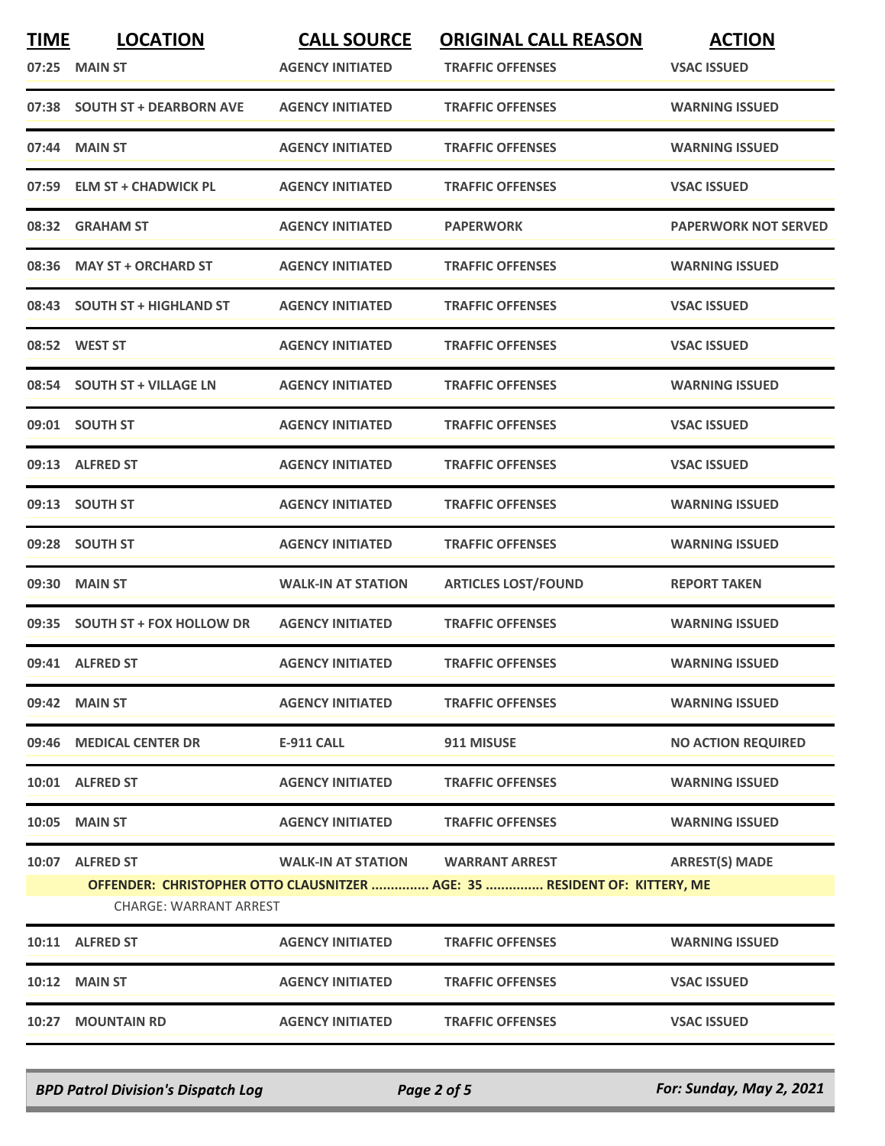| <b>TIME</b><br>07:25 | <b>LOCATION</b><br><b>MAIN ST</b>                | <b>CALL SOURCE</b><br><b>AGENCY INITIATED</b> | <b>ORIGINAL CALL REASON</b><br><b>TRAFFIC OFFENSES</b>                                             | <b>ACTION</b><br><b>VSAC ISSUED</b> |
|----------------------|--------------------------------------------------|-----------------------------------------------|----------------------------------------------------------------------------------------------------|-------------------------------------|
|                      | 07:38 SOUTH ST + DEARBORN AVE                    | <b>AGENCY INITIATED</b>                       | <b>TRAFFIC OFFENSES</b>                                                                            | <b>WARNING ISSUED</b>               |
| 07:44                | <b>MAIN ST</b>                                   | <b>AGENCY INITIATED</b>                       | <b>TRAFFIC OFFENSES</b>                                                                            | <b>WARNING ISSUED</b>               |
|                      | 07:59 ELM ST + CHADWICK PL                       | <b>AGENCY INITIATED</b>                       | <b>TRAFFIC OFFENSES</b>                                                                            | <b>VSAC ISSUED</b>                  |
|                      | 08:32 GRAHAM ST                                  | <b>AGENCY INITIATED</b>                       | <b>PAPERWORK</b>                                                                                   | <b>PAPERWORK NOT SERVED</b>         |
| 08:36                | <b>MAY ST + ORCHARD ST</b>                       | <b>AGENCY INITIATED</b>                       | <b>TRAFFIC OFFENSES</b>                                                                            | <b>WARNING ISSUED</b>               |
|                      | 08:43 SOUTH ST + HIGHLAND ST                     | <b>AGENCY INITIATED</b>                       | <b>TRAFFIC OFFENSES</b>                                                                            | <b>VSAC ISSUED</b>                  |
|                      | 08:52 WEST ST                                    | <b>AGENCY INITIATED</b>                       | <b>TRAFFIC OFFENSES</b>                                                                            | <b>VSAC ISSUED</b>                  |
|                      | 08:54 SOUTH ST + VILLAGE LN                      | <b>AGENCY INITIATED</b>                       | <b>TRAFFIC OFFENSES</b>                                                                            | <b>WARNING ISSUED</b>               |
|                      | 09:01 SOUTH ST                                   | <b>AGENCY INITIATED</b>                       | <b>TRAFFIC OFFENSES</b>                                                                            | <b>VSAC ISSUED</b>                  |
|                      | 09:13 ALFRED ST                                  | <b>AGENCY INITIATED</b>                       | <b>TRAFFIC OFFENSES</b>                                                                            | <b>VSAC ISSUED</b>                  |
|                      | 09:13 SOUTH ST                                   | <b>AGENCY INITIATED</b>                       | <b>TRAFFIC OFFENSES</b>                                                                            | <b>WARNING ISSUED</b>               |
|                      | 09:28 SOUTH ST                                   | <b>AGENCY INITIATED</b>                       | <b>TRAFFIC OFFENSES</b>                                                                            | <b>WARNING ISSUED</b>               |
| 09:30                | <b>MAIN ST</b>                                   | <b>WALK-IN AT STATION</b>                     | <b>ARTICLES LOST/FOUND</b>                                                                         | <b>REPORT TAKEN</b>                 |
|                      | 09:35 SOUTH ST + FOX HOLLOW DR                   | <b>AGENCY INITIATED</b>                       | <b>TRAFFIC OFFENSES</b>                                                                            | <b>WARNING ISSUED</b>               |
|                      | 09:41 ALFRED ST                                  | <b>AGENCY INITIATED</b>                       | <b>TRAFFIC OFFENSES</b>                                                                            | <b>WARNING ISSUED</b>               |
|                      | 09:42 MAIN ST                                    | <b>AGENCY INITIATED</b>                       | <b>TRAFFIC OFFENSES</b>                                                                            | <b>WARNING ISSUED</b>               |
|                      | 09:46 MEDICAL CENTER DR                          | E-911 CALL                                    | 911 MISUSE                                                                                         | <b>NO ACTION REQUIRED</b>           |
|                      | 10:01 ALFRED ST                                  | <b>AGENCY INITIATED</b>                       | <b>TRAFFIC OFFENSES</b>                                                                            | <b>WARNING ISSUED</b>               |
|                      | <b>10:05 MAIN ST</b>                             | <b>AGENCY INITIATED</b>                       | <b>TRAFFIC OFFENSES</b>                                                                            | <b>WARNING ISSUED</b>               |
|                      | 10:07 ALFRED ST<br><b>CHARGE: WARRANT ARREST</b> | <b>WALK-IN AT STATION</b>                     | <b>WARRANT ARREST</b><br>OFFENDER: CHRISTOPHER OTTO CLAUSNITZER  AGE: 35  RESIDENT OF: KITTERY, ME | <b>ARREST(S) MADE</b>               |
|                      | 10:11 ALFRED ST                                  | <b>AGENCY INITIATED</b>                       | <b>TRAFFIC OFFENSES</b>                                                                            | <b>WARNING ISSUED</b>               |
|                      | 10:12 MAIN ST                                    | <b>AGENCY INITIATED</b>                       | <b>TRAFFIC OFFENSES</b>                                                                            | <b>VSAC ISSUED</b>                  |
|                      | 10:27 MOUNTAIN RD                                | <b>AGENCY INITIATED</b>                       | <b>TRAFFIC OFFENSES</b>                                                                            | <b>VSAC ISSUED</b>                  |

*BPD Patrol Division's Dispatch Log Page 2 of 5 For: Sunday, May 2, 2021*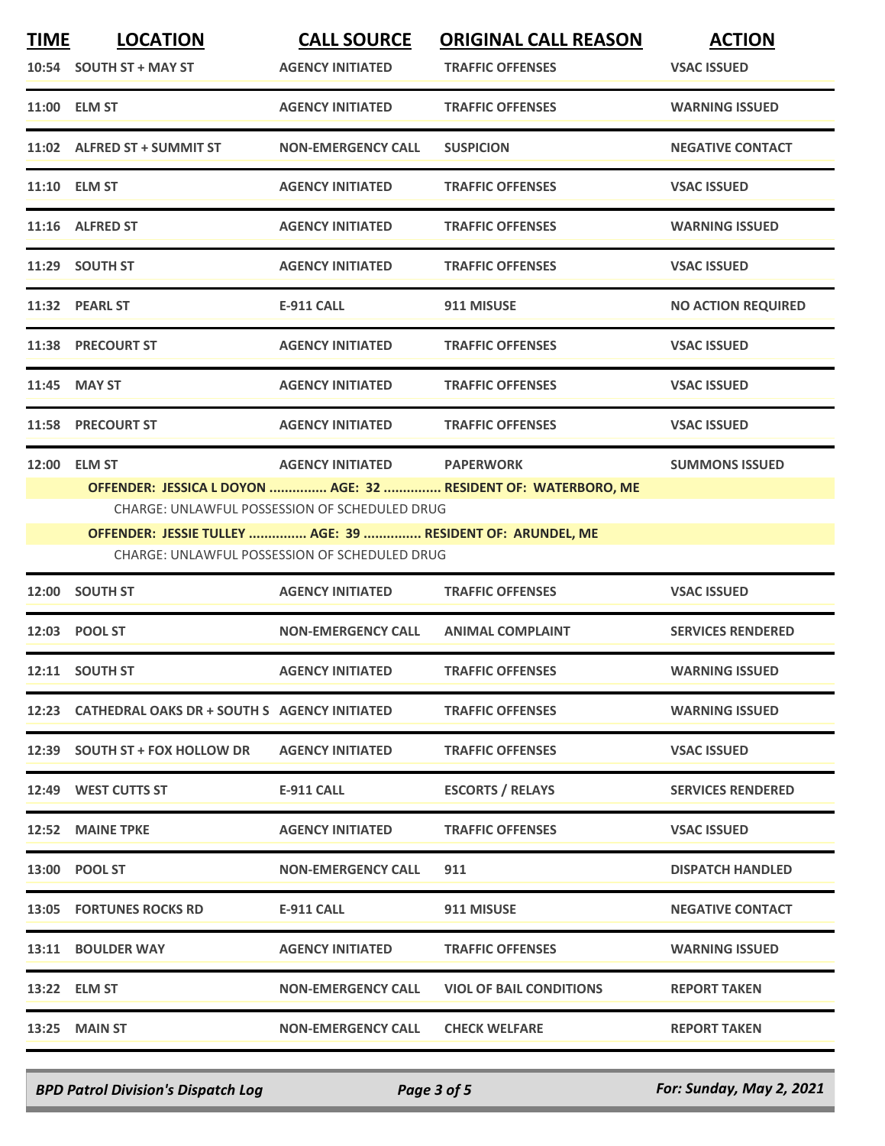| <b>TIME</b> | <b>LOCATION</b><br>10:54 SOUTH ST + MAY ST                                 | <b>CALL SOURCE</b><br><b>AGENCY INITIATED</b>                                                                             | <b>ORIGINAL CALL REASON</b><br><b>TRAFFIC OFFENSES</b>                             | <b>ACTION</b><br><b>VSAC ISSUED</b> |
|-------------|----------------------------------------------------------------------------|---------------------------------------------------------------------------------------------------------------------------|------------------------------------------------------------------------------------|-------------------------------------|
|             | 11:00 ELM ST                                                               | <b>AGENCY INITIATED</b>                                                                                                   | <b>TRAFFIC OFFENSES</b>                                                            | <b>WARNING ISSUED</b>               |
|             | 11:02 ALFRED ST + SUMMIT ST                                                | <b>NON-EMERGENCY CALL</b>                                                                                                 | <b>SUSPICION</b>                                                                   | <b>NEGATIVE CONTACT</b>             |
|             | 11:10 ELM ST                                                               | <b>AGENCY INITIATED</b>                                                                                                   | <b>TRAFFIC OFFENSES</b>                                                            | <b>VSAC ISSUED</b>                  |
|             | 11:16 ALFRED ST                                                            | <b>AGENCY INITIATED</b>                                                                                                   | <b>TRAFFIC OFFENSES</b>                                                            | <b>WARNING ISSUED</b>               |
|             | 11:29 SOUTH ST                                                             | <b>AGENCY INITIATED</b>                                                                                                   | <b>TRAFFIC OFFENSES</b>                                                            | <b>VSAC ISSUED</b>                  |
|             | 11:32 PEARL ST                                                             | <b>E-911 CALL</b>                                                                                                         | 911 MISUSE                                                                         | <b>NO ACTION REQUIRED</b>           |
|             | 11:38 PRECOURT ST                                                          | <b>AGENCY INITIATED</b>                                                                                                   | <b>TRAFFIC OFFENSES</b>                                                            | <b>VSAC ISSUED</b>                  |
|             | 11:45 MAY ST                                                               | <b>AGENCY INITIATED</b>                                                                                                   | <b>TRAFFIC OFFENSES</b>                                                            | <b>VSAC ISSUED</b>                  |
|             | 11:58 PRECOURT ST                                                          | <b>AGENCY INITIATED</b>                                                                                                   | <b>TRAFFIC OFFENSES</b>                                                            | <b>VSAC ISSUED</b>                  |
|             | 12:00 ELM ST<br>OFFENDER: JESSIE TULLEY  AGE: 39  RESIDENT OF: ARUNDEL, ME | <b>AGENCY INITIATED</b><br>CHARGE: UNLAWFUL POSSESSION OF SCHEDULED DRUG<br>CHARGE: UNLAWFUL POSSESSION OF SCHEDULED DRUG | <b>PAPERWORK</b><br>OFFENDER: JESSICA L DOYON  AGE: 32  RESIDENT OF: WATERBORO, ME | <b>SUMMONS ISSUED</b>               |
|             | 12:00 SOUTH ST                                                             | <b>AGENCY INITIATED</b>                                                                                                   | <b>TRAFFIC OFFENSES</b>                                                            | <b>VSAC ISSUED</b>                  |
|             | 12:03 POOL ST                                                              | <b>NON-EMERGENCY CALL</b>                                                                                                 | <b>ANIMAL COMPLAINT</b>                                                            | <b>SERVICES RENDERED</b>            |
|             | 12:11 SOUTH ST                                                             | <b>AGENCY INITIATED</b>                                                                                                   | <b>TRAFFIC OFFENSES</b>                                                            | <b>WARNING ISSUED</b>               |
|             | 12:23 CATHEDRAL OAKS DR + SOUTH S AGENCY INITIATED                         |                                                                                                                           | <b>TRAFFIC OFFENSES</b>                                                            | <b>WARNING ISSUED</b>               |
|             | 12:39 SOUTH ST + FOX HOLLOW DR                                             | <b>AGENCY INITIATED</b>                                                                                                   | <b>TRAFFIC OFFENSES</b>                                                            | <b>VSAC ISSUED</b>                  |
|             | 12:49 WEST CUTTS ST                                                        | E-911 CALL                                                                                                                | <b>ESCORTS / RELAYS</b>                                                            | <b>SERVICES RENDERED</b>            |
|             | 12:52 MAINE TPKE                                                           | <b>AGENCY INITIATED</b>                                                                                                   | <b>TRAFFIC OFFENSES</b>                                                            | <b>VSAC ISSUED</b>                  |
|             | 13:00 POOL ST                                                              | <b>NON-EMERGENCY CALL</b>                                                                                                 | 911                                                                                | <b>DISPATCH HANDLED</b>             |
|             | 13:05 FORTUNES ROCKS RD                                                    | E-911 CALL                                                                                                                | 911 MISUSE                                                                         | <b>NEGATIVE CONTACT</b>             |
|             | 13:11 BOULDER WAY                                                          | <b>AGENCY INITIATED</b>                                                                                                   | <b>TRAFFIC OFFENSES</b>                                                            | <b>WARNING ISSUED</b>               |
|             | 13:22 ELM ST                                                               | <b>NON-EMERGENCY CALL</b>                                                                                                 | <b>VIOL OF BAIL CONDITIONS</b>                                                     | <b>REPORT TAKEN</b>                 |
|             | 13:25 MAIN ST                                                              | <b>NON-EMERGENCY CALL</b>                                                                                                 | <b>CHECK WELFARE</b>                                                               | <b>REPORT TAKEN</b>                 |

*BPD Patrol Division's Dispatch Log Page 3 of 5 For: Sunday, May 2, 2021*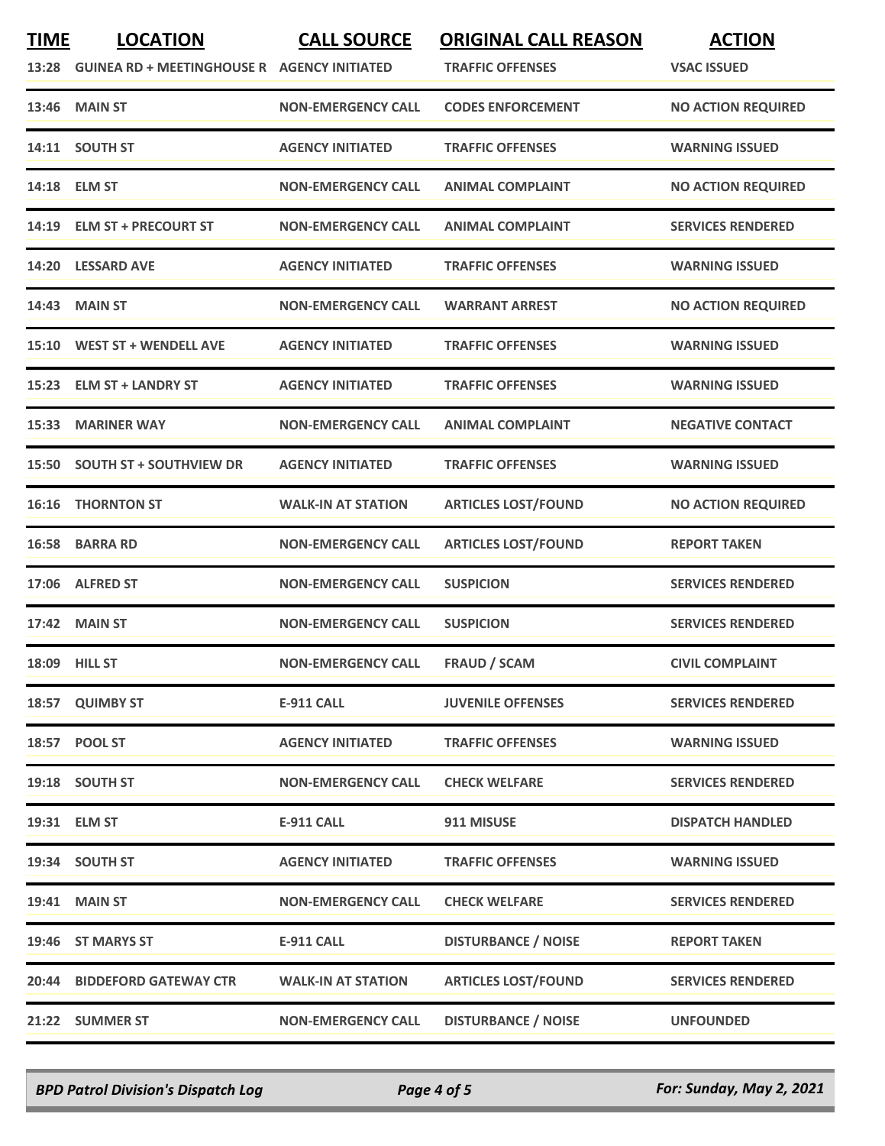| <b>TIME</b> | <b>LOCATION</b><br>13:28 GUINEA RD + MEETINGHOUSE R AGENCY INITIATED | <b>CALL SOURCE</b>        | <b>ORIGINAL CALL REASON</b><br><b>TRAFFIC OFFENSES</b> | <b>ACTION</b><br><b>VSAC ISSUED</b> |
|-------------|----------------------------------------------------------------------|---------------------------|--------------------------------------------------------|-------------------------------------|
|             | 13:46 MAIN ST                                                        | <b>NON-EMERGENCY CALL</b> | <b>CODES ENFORCEMENT</b>                               | <b>NO ACTION REQUIRED</b>           |
|             | 14:11 SOUTH ST                                                       | <b>AGENCY INITIATED</b>   | <b>TRAFFIC OFFENSES</b>                                | <b>WARNING ISSUED</b>               |
|             | 14:18 ELM ST                                                         | <b>NON-EMERGENCY CALL</b> | <b>ANIMAL COMPLAINT</b>                                | <b>NO ACTION REQUIRED</b>           |
|             | 14:19 ELM ST + PRECOURT ST                                           | <b>NON-EMERGENCY CALL</b> | <b>ANIMAL COMPLAINT</b>                                | <b>SERVICES RENDERED</b>            |
|             | 14:20 LESSARD AVE                                                    | <b>AGENCY INITIATED</b>   | <b>TRAFFIC OFFENSES</b>                                | <b>WARNING ISSUED</b>               |
|             | 14:43 MAIN ST                                                        | <b>NON-EMERGENCY CALL</b> | <b>WARRANT ARREST</b>                                  | <b>NO ACTION REQUIRED</b>           |
|             | 15:10 WEST ST + WENDELL AVE                                          | <b>AGENCY INITIATED</b>   | <b>TRAFFIC OFFENSES</b>                                | <b>WARNING ISSUED</b>               |
|             | 15:23 ELM ST + LANDRY ST                                             | <b>AGENCY INITIATED</b>   | <b>TRAFFIC OFFENSES</b>                                | <b>WARNING ISSUED</b>               |
|             | 15:33 MARINER WAY                                                    | <b>NON-EMERGENCY CALL</b> | <b>ANIMAL COMPLAINT</b>                                | <b>NEGATIVE CONTACT</b>             |
|             | 15:50 SOUTH ST + SOUTHVIEW DR                                        | <b>AGENCY INITIATED</b>   | <b>TRAFFIC OFFENSES</b>                                | <b>WARNING ISSUED</b>               |
| 16:16       | <b>THORNTON ST</b>                                                   | <b>WALK-IN AT STATION</b> | <b>ARTICLES LOST/FOUND</b>                             | <b>NO ACTION REQUIRED</b>           |
| 16:58       | <b>BARRA RD</b>                                                      | <b>NON-EMERGENCY CALL</b> | <b>ARTICLES LOST/FOUND</b>                             | <b>REPORT TAKEN</b>                 |
|             | 17:06 ALFRED ST                                                      | <b>NON-EMERGENCY CALL</b> | <b>SUSPICION</b>                                       | <b>SERVICES RENDERED</b>            |
|             | 17:42 MAIN ST                                                        | <b>NON-EMERGENCY CALL</b> | <b>SUSPICION</b>                                       | <b>SERVICES RENDERED</b>            |
|             | 18:09 HILL ST                                                        | <b>NON-EMERGENCY CALL</b> | <b>FRAUD / SCAM</b>                                    | <b>CIVIL COMPLAINT</b>              |
|             | 18:57 QUIMBY ST                                                      | <b>E-911 CALL</b>         | <b>JUVENILE OFFENSES</b>                               | <b>SERVICES RENDERED</b>            |
|             | 18:57 POOL ST                                                        | <b>AGENCY INITIATED</b>   | <b>TRAFFIC OFFENSES</b>                                | <b>WARNING ISSUED</b>               |
|             | 19:18 SOUTH ST                                                       | <b>NON-EMERGENCY CALL</b> | <b>CHECK WELFARE</b>                                   | <b>SERVICES RENDERED</b>            |
|             | 19:31 ELM ST                                                         | <b>E-911 CALL</b>         | 911 MISUSE                                             | <b>DISPATCH HANDLED</b>             |
|             | 19:34 SOUTH ST                                                       | <b>AGENCY INITIATED</b>   | <b>TRAFFIC OFFENSES</b>                                | <b>WARNING ISSUED</b>               |
|             | <b>19:41 MAIN ST</b>                                                 | <b>NON-EMERGENCY CALL</b> | <b>CHECK WELFARE</b>                                   | <b>SERVICES RENDERED</b>            |
|             | 19:46 ST MARYS ST                                                    | <b>E-911 CALL</b>         | <b>DISTURBANCE / NOISE</b>                             | <b>REPORT TAKEN</b>                 |
|             | 20:44 BIDDEFORD GATEWAY CTR                                          | <b>WALK-IN AT STATION</b> | <b>ARTICLES LOST/FOUND</b>                             | <b>SERVICES RENDERED</b>            |
|             | 21:22 SUMMER ST                                                      | <b>NON-EMERGENCY CALL</b> | <b>DISTURBANCE / NOISE</b>                             | <b>UNFOUNDED</b>                    |

*BPD Patrol Division's Dispatch Log Page 4 of 5 For: Sunday, May 2, 2021*